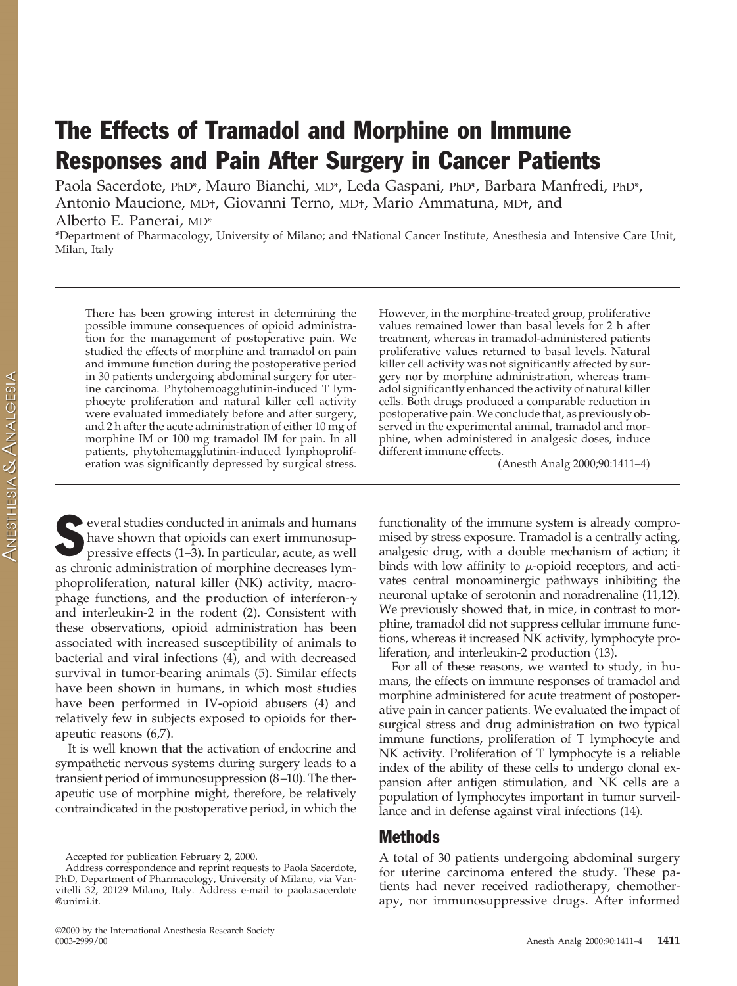# The Effects of Tramadol and Morphine on Immune Responses and Pain After Surgery in Cancer Patients

Paola Sacerdote, PhD\*, Mauro Bianchi, MD\*, Leda Gaspani, PhD\*, Barbara Manfredi, PhD\*, Antonio Maucione, MD†, Giovanni Terno, MD†, Mario Ammatuna, MD†, and Alberto E. Panerai, MD\*

\*Department of Pharmacology, University of Milano; and †National Cancer Institute, Anesthesia and Intensive Care Unit, Milan, Italy

There has been growing interest in determining the possible immune consequences of opioid administration for the management of postoperative pain. We studied the effects of morphine and tramadol on pain and immune function during the postoperative period in 30 patients undergoing abdominal surgery for uterine carcinoma. Phytohemoagglutinin-induced T lymphocyte proliferation and natural killer cell activity were evaluated immediately before and after surgery, and 2 h after the acute administration of either 10 mg of morphine IM or 100 mg tramadol IM for pain. In all patients, phytohemagglutinin-induced lymphoproliferation was significantly depressed by surgical stress.

Several studies conducted in animals and humans<br>have shown that opioids can exert immunosuppressive effects (1–3). In particular, acute, as well have shown that opioids can exert immunosuppressive effects (1–3). In particular, acute, as well as chronic administration of morphine decreases lymphoproliferation, natural killer (NK) activity, macrophage functions, and the production of interferon- $\gamma$ and interleukin-2 in the rodent (2). Consistent with these observations, opioid administration has been associated with increased susceptibility of animals to bacterial and viral infections (4), and with decreased survival in tumor-bearing animals (5). Similar effects have been shown in humans, in which most studies have been performed in IV-opioid abusers (4) and relatively few in subjects exposed to opioids for therapeutic reasons (6,7).

It is well known that the activation of endocrine and sympathetic nervous systems during surgery leads to a transient period of immunosuppression (8–10). The therapeutic use of morphine might, therefore, be relatively contraindicated in the postoperative period, in which the However, in the morphine-treated group, proliferative values remained lower than basal levels for 2 h after treatment, whereas in tramadol-administered patients proliferative values returned to basal levels. Natural killer cell activity was not significantly affected by surgery nor by morphine administration, whereas tramadol significantly enhanced the activity of natural killer cells. Both drugs produced a comparable reduction in postoperative pain. We conclude that, as previously observed in the experimental animal, tramadol and morphine, when administered in analgesic doses, induce different immune effects.

(Anesth Analg 2000;90:1411–4)

functionality of the immune system is already compromised by stress exposure. Tramadol is a centrally acting, analgesic drug, with a double mechanism of action; it binds with low affinity to  $\mu$ -opioid receptors, and activates central monoaminergic pathways inhibiting the neuronal uptake of serotonin and noradrenaline (11,12). We previously showed that, in mice, in contrast to morphine, tramadol did not suppress cellular immune functions, whereas it increased NK activity, lymphocyte proliferation, and interleukin-2 production (13).

For all of these reasons, we wanted to study, in humans, the effects on immune responses of tramadol and morphine administered for acute treatment of postoperative pain in cancer patients. We evaluated the impact of surgical stress and drug administration on two typical immune functions, proliferation of T lymphocyte and NK activity. Proliferation of T lymphocyte is a reliable index of the ability of these cells to undergo clonal expansion after antigen stimulation, and NK cells are a population of lymphocytes important in tumor surveillance and in defense against viral infections (14).

## Methods

A total of 30 patients undergoing abdominal surgery for uterine carcinoma entered the study. These patients had never received radiotherapy, chemotherapy, nor immunosuppressive drugs. After informed

**ANESTHESIA & ANALGESIA** 

Accepted for publication February 2, 2000.

Address correspondence and reprint requests to Paola Sacerdote, PhD, Department of Pharmacology, University of Milano, via Vanvitelli 32, 20129 Milano, Italy. Address e-mail to paola.sacerdote @unimi.it.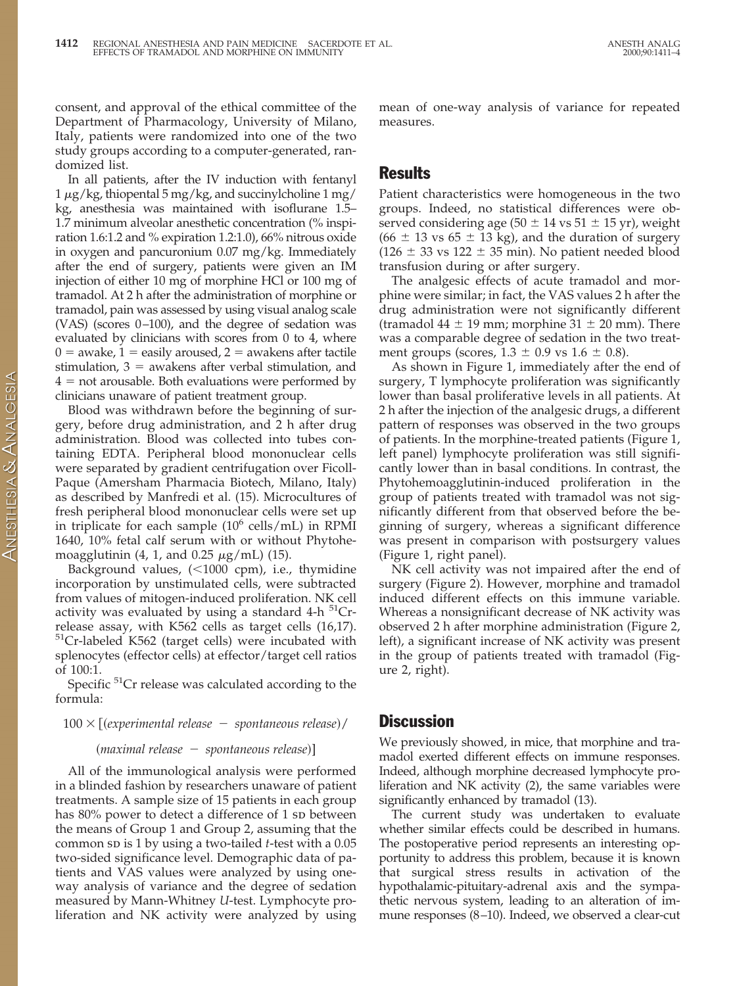consent, and approval of the ethical committee of the Department of Pharmacology, University of Milano, Italy, patients were randomized into one of the two study groups according to a computer-generated, randomized list.

In all patients, after the IV induction with fentanyl 1  $\mu$ g/kg, thiopental 5 mg/kg, and succinylcholine 1 mg/ kg, anesthesia was maintained with isoflurane 1.5– 1.7 minimum alveolar anesthetic concentration (% inspiration 1.6:1.2 and % expiration 1.2:1.0), 66% nitrous oxide in oxygen and pancuronium 0.07 mg/kg. Immediately after the end of surgery, patients were given an IM injection of either 10 mg of morphine HCl or 100 mg of tramadol. At 2 h after the administration of morphine or tramadol, pain was assessed by using visual analog scale (VAS) (scores 0–100), and the degree of sedation was evaluated by clinicians with scores from 0 to 4, where  $0 =$  awake,  $1 =$  easily aroused,  $2 =$  awakens after tactile stimulation,  $3 =$  awakens after verbal stimulation, and  $4 =$  not arousable. Both evaluations were performed by clinicians unaware of patient treatment group.

Blood was withdrawn before the beginning of surgery, before drug administration, and 2 h after drug administration. Blood was collected into tubes containing EDTA. Peripheral blood mononuclear cells were separated by gradient centrifugation over Ficoll-Paque (Amersham Pharmacia Biotech, Milano, Italy) as described by Manfredi et al. (15). Microcultures of fresh peripheral blood mononuclear cells were set up in triplicate for each sample  $(10^6 \text{ cells/mL})$  in RPMI 1640, 10% fetal calf serum with or without Phytohemoagglutinin (4, 1, and 0.25  $\mu$ g/mL) (15).

Background values,  $(<1000$  cpm), i.e., thymidine incorporation by unstimulated cells, were subtracted from values of mitogen-induced proliferation. NK cell activity was evaluated by using a standard  $4-h$ <sup>51</sup>Crrelease assay, with K562 cells as target cells (16,17).  $51$ Cr-labeled K562 (target cells) were incubated with splenocytes (effector cells) at effector/target cell ratios of 100:1.

Specific <sup>51</sup>Cr release was calculated according to the formula:

### $100 \times \left[$  (experimental release  $-$  *spontaneous release*)/

#### $(maximal release - spontaneous release)$ ]

All of the immunological analysis were performed in a blinded fashion by researchers unaware of patient treatments. A sample size of 15 patients in each group has  $80\%$  power to detect a difference of 1 sp between the means of Group 1 and Group 2, assuming that the common sp is 1 by using a two-tailed *t*-test with a 0.05 two-sided significance level. Demographic data of patients and VAS values were analyzed by using oneway analysis of variance and the degree of sedation measured by Mann-Whitney *U*-test. Lymphocyte proliferation and NK activity were analyzed by using mean of one-way analysis of variance for repeated measures.

## Results

Patient characteristics were homogeneous in the two groups. Indeed, no statistical differences were observed considering age ( $50 \pm 14$  vs  $51 \pm 15$  yr), weight  $(66 \pm 13 \text{ vs } 65 \pm 13 \text{ kg})$ , and the duration of surgery  $(126 \pm 33 \text{ vs } 122 \pm 35 \text{ min})$ . No patient needed blood transfusion during or after surgery.

The analgesic effects of acute tramadol and morphine were similar; in fact, the VAS values 2 h after the drug administration were not significantly different (tramadol  $44 \pm 19$  mm; morphine  $31 \pm 20$  mm). There was a comparable degree of sedation in the two treatment groups (scores,  $1.3 \pm 0.9$  vs  $1.6 \pm 0.8$ ).

As shown in Figure 1, immediately after the end of surgery, T lymphocyte proliferation was significantly lower than basal proliferative levels in all patients. At 2 h after the injection of the analgesic drugs, a different pattern of responses was observed in the two groups of patients. In the morphine-treated patients (Figure 1, left panel) lymphocyte proliferation was still significantly lower than in basal conditions. In contrast, the Phytohemoagglutinin-induced proliferation in the group of patients treated with tramadol was not significantly different from that observed before the beginning of surgery, whereas a significant difference was present in comparison with postsurgery values (Figure 1, right panel).

NK cell activity was not impaired after the end of surgery (Figure 2). However, morphine and tramadol induced different effects on this immune variable. Whereas a nonsignificant decrease of NK activity was observed 2 h after morphine administration (Figure 2, left), a significant increase of NK activity was present in the group of patients treated with tramadol (Figure 2, right).

## **Discussion**

We previously showed, in mice, that morphine and tramadol exerted different effects on immune responses. Indeed, although morphine decreased lymphocyte proliferation and NK activity (2), the same variables were significantly enhanced by tramadol (13).

The current study was undertaken to evaluate whether similar effects could be described in humans. The postoperative period represents an interesting opportunity to address this problem, because it is known that surgical stress results in activation of the hypothalamic-pituitary-adrenal axis and the sympathetic nervous system, leading to an alteration of immune responses (8–10). Indeed, we observed a clear-cut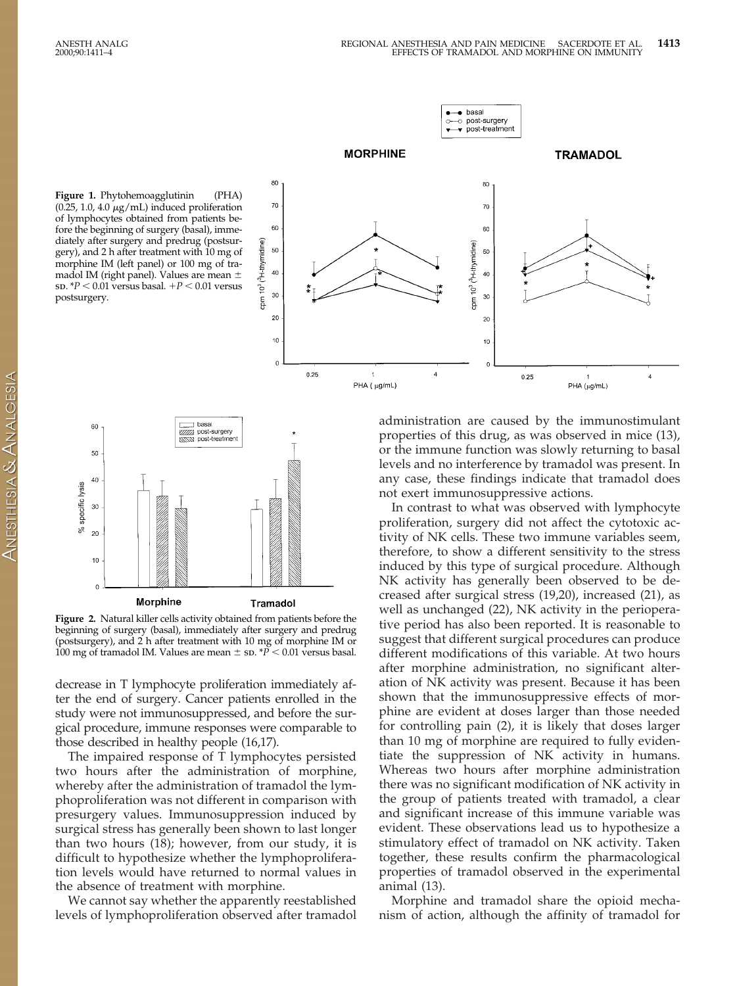



 $\bullet$  basal



**Figure 2.** Natural killer cells activity obtained from patients before the beginning of surgery (basal), immediately after surgery and predrug (postsurgery), and 2 h after treatment with 10 mg of morphine IM or 100 mg of tramadol IM. Values are mean  $\pm$  sp.  $*\bar{P}$  < 0.01 versus basal.

decrease in T lymphocyte proliferation immediately after the end of surgery. Cancer patients enrolled in the study were not immunosuppressed, and before the surgical procedure, immune responses were comparable to those described in healthy people (16,17).

The impaired response of T lymphocytes persisted two hours after the administration of morphine, whereby after the administration of tramadol the lymphoproliferation was not different in comparison with presurgery values. Immunosuppression induced by surgical stress has generally been shown to last longer than two hours (18); however, from our study, it is difficult to hypothesize whether the lymphoproliferation levels would have returned to normal values in the absence of treatment with morphine.

We cannot say whether the apparently reestablished levels of lymphoproliferation observed after tramadol

administration are caused by the immunostimulant properties of this drug, as was observed in mice (13), or the immune function was slowly returning to basal levels and no interference by tramadol was present. In any case, these findings indicate that tramadol does not exert immunosuppressive actions.

In contrast to what was observed with lymphocyte proliferation, surgery did not affect the cytotoxic activity of NK cells. These two immune variables seem, therefore, to show a different sensitivity to the stress induced by this type of surgical procedure. Although NK activity has generally been observed to be decreased after surgical stress (19,20), increased (21), as well as unchanged (22), NK activity in the perioperative period has also been reported. It is reasonable to suggest that different surgical procedures can produce different modifications of this variable. At two hours after morphine administration, no significant alteration of NK activity was present. Because it has been shown that the immunosuppressive effects of morphine are evident at doses larger than those needed for controlling pain (2), it is likely that doses larger than 10 mg of morphine are required to fully evidentiate the suppression of NK activity in humans. Whereas two hours after morphine administration there was no significant modification of NK activity in the group of patients treated with tramadol, a clear and significant increase of this immune variable was evident. These observations lead us to hypothesize a stimulatory effect of tramadol on NK activity. Taken together, these results confirm the pharmacological properties of tramadol observed in the experimental animal (13).

Morphine and tramadol share the opioid mechanism of action, although the affinity of tramadol for